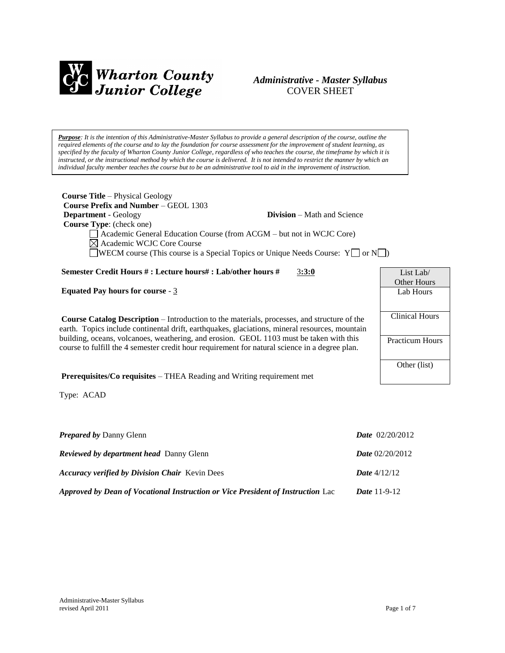

## *Administrative - Master Syllabus*  COVER SHEET

*Purpose: It is the intention of this Administrative-Master Syllabus to provide a general description of the course, outline the required elements of the course and to lay the foundation for course assessment for the improvement of student learning, as specified by the faculty of Wharton County Junior College, regardless of who teaches the course, the timeframe by which it is instructed, or the instructional method by which the course is delivered. It is not intended to restrict the manner by which an individual faculty member teaches the course but to be an administrative tool to aid in the improvement of instruction.*

| <b>Course Title – Physical Geology</b><br><b>Course Prefix and Number – GEOL 1303</b>              |                                    |                       |
|----------------------------------------------------------------------------------------------------|------------------------------------|-----------------------|
| <b>Department</b> - Geology                                                                        | <b>Division</b> – Math and Science |                       |
| <b>Course Type:</b> (check one)                                                                    |                                    |                       |
| Academic General Education Course (from ACGM – but not in WCJC Core)                               |                                    |                       |
| $\boxtimes$ Academic WCJC Core Course                                                              |                                    |                       |
| <b>WECM</b> course (This course is a Special Topics or Unique Needs Course: $Y \cap Y$ )           |                                    |                       |
|                                                                                                    |                                    |                       |
| Semester Credit Hours #: Lecture hours#: Lab/other hours #                                         | 3:3:0                              | List Lab/             |
|                                                                                                    |                                    | <b>Other Hours</b>    |
| <b>Equated Pay hours for course - 3</b>                                                            |                                    | Lab Hours             |
|                                                                                                    |                                    |                       |
|                                                                                                    |                                    |                       |
| <b>Course Catalog Description</b> – Introduction to the materials, processes, and structure of the |                                    | <b>Clinical Hours</b> |
| earth. Topics include continental drift, earthquakes, glaciations, mineral resources, mountain     |                                    |                       |
|                                                                                                    |                                    |                       |

earth. Topics include continental drift, earthquakes, glaciations, mineral resources, mountain building, oceans, volcanoes, weathering, and erosion. GEOL 1103 must be taken with this course to fulfill the 4 semester credit hour requirement for natural science in a degree plan.

**Prerequisites/Co requisites** – THEA Reading and Writing requirement met

Type: ACAD

| <b>Prepared by Danny Glenn</b>                                                  | <b>Date</b> $02/20/2012$ |
|---------------------------------------------------------------------------------|--------------------------|
| <b>Reviewed by department head</b> Danny Glenn                                  | <i>Date</i> $02/20/2012$ |
| <b>Accuracy verified by Division Chair Kevin Dees</b>                           | <b>Date</b> $4/12/12$    |
| Approved by Dean of Vocational Instruction or Vice President of Instruction Lac | <i>Date</i> $11-9-12$    |

Practicum Hours

Other (list)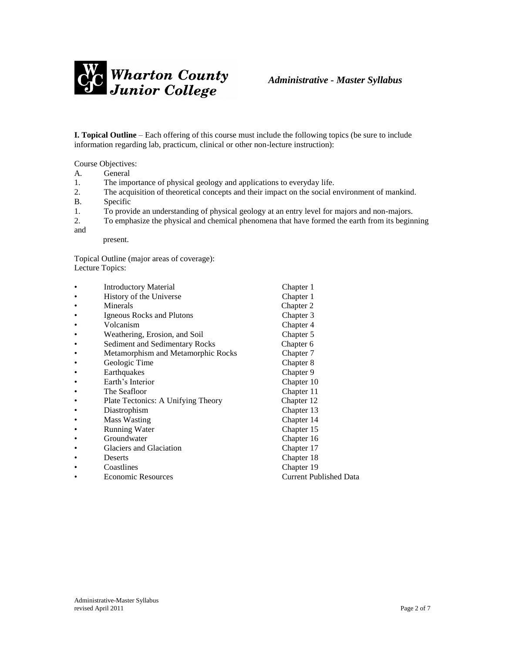

**I. Topical Outline** – Each offering of this course must include the following topics (be sure to include information regarding lab, practicum, clinical or other non-lecture instruction):

Course Objectives:

- A. General
- 1. The importance of physical geology and applications to everyday life.
- 2. The acquisition of theoretical concepts and their impact on the social environment of mankind.
- B. Specific
- 1. To provide an understanding of physical geology at an entry level for majors and non-majors.
- 2. To emphasize the physical and chemical phenomena that have formed the earth from its beginning

and

present.

Topical Outline (major areas of coverage): Lecture Topics:

| $\bullet$ | <b>Introductory Material</b>       | Chapter 1                     |
|-----------|------------------------------------|-------------------------------|
| ٠         | History of the Universe            | Chapter 1                     |
| ٠         | Minerals                           | Chapter 2                     |
| ٠         | Igneous Rocks and Plutons          | Chapter 3                     |
| ٠         | Volcanism                          | Chapter 4                     |
| ٠         | Weathering, Erosion, and Soil      | Chapter 5                     |
| ٠         | Sediment and Sedimentary Rocks     | Chapter 6                     |
| ٠         | Metamorphism and Metamorphic Rocks | Chapter 7                     |
| ٠         | Geologic Time                      | Chapter 8                     |
| ٠         | Earthquakes                        | Chapter 9                     |
| ٠         | Earth's Interior                   | Chapter 10                    |
| ٠         | The Seafloor                       | Chapter 11                    |
| ٠         | Plate Tectonics: A Unifying Theory | Chapter 12                    |
| ٠         | Diastrophism                       | Chapter 13                    |
| $\bullet$ | <b>Mass Wasting</b>                | Chapter 14                    |
| ٠         | <b>Running Water</b>               | Chapter 15                    |
| ٠         | Groundwater                        | Chapter 16                    |
| ٠         | Glaciers and Glaciation            | Chapter 17                    |
| ٠         | Deserts                            | Chapter 18                    |
| ٠         | Coastlines                         | Chapter 19                    |
| ٠         | <b>Economic Resources</b>          | <b>Current Published Data</b> |
|           |                                    |                               |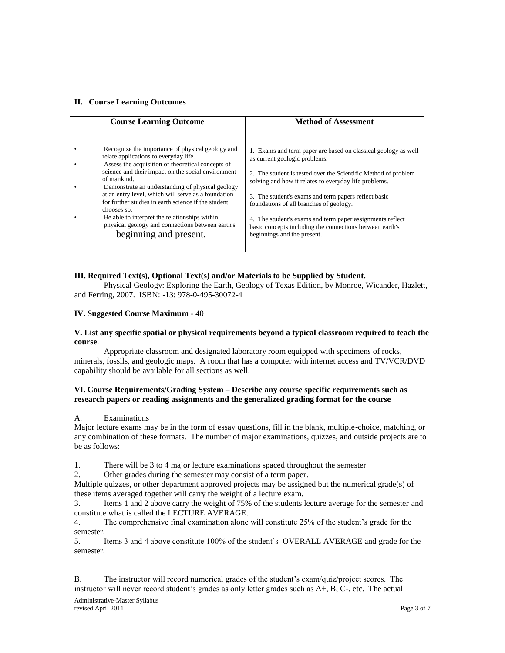### **II. Course Learning Outcomes**

| <b>Course Learning Outcome</b>                                                                                                                                                                                                                                                                                                                                                                                                                                                                                                      | <b>Method of Assessment</b>                                                                                                                                                                                                                                                                                                                                                                                                                                                           |
|-------------------------------------------------------------------------------------------------------------------------------------------------------------------------------------------------------------------------------------------------------------------------------------------------------------------------------------------------------------------------------------------------------------------------------------------------------------------------------------------------------------------------------------|---------------------------------------------------------------------------------------------------------------------------------------------------------------------------------------------------------------------------------------------------------------------------------------------------------------------------------------------------------------------------------------------------------------------------------------------------------------------------------------|
| Recognize the importance of physical geology and<br>relate applications to everyday life.<br>Assess the acquisition of theoretical concepts of<br>science and their impact on the social environment<br>of mankind.<br>Demonstrate an understanding of physical geology<br>at an entry level, which will serve as a foundation<br>for further studies in earth science if the student<br>chooses so.<br>Be able to interpret the relationships within<br>physical geology and connections between earth's<br>beginning and present. | 1. Exams and term paper are based on classical geology as well<br>as current geologic problems.<br>2. The student is tested over the Scientific Method of problem<br>solving and how it relates to everyday life problems.<br>3. The student's exams and term papers reflect basic<br>foundations of all branches of geology.<br>4. The student's exams and term paper assignments reflect<br>basic concepts including the connections between earth's<br>beginnings and the present. |

### **III. Required Text(s), Optional Text(s) and/or Materials to be Supplied by Student.**

Physical Geology: Exploring the Earth, Geology of Texas Edition, by Monroe, Wicander, Hazlett, and Ferring, 2007. ISBN: -13: 978-0-495-30072-4

#### **IV. Suggested Course Maximum** - 40

#### **V. List any specific spatial or physical requirements beyond a typical classroom required to teach the course**.

Appropriate classroom and designated laboratory room equipped with specimens of rocks, minerals, fossils, and geologic maps. A room that has a computer with internet access and TV/VCR/DVD capability should be available for all sections as well.

### **VI. Course Requirements/Grading System – Describe any course specific requirements such as research papers or reading assignments and the generalized grading format for the course**

#### A. Examinations

Major lecture exams may be in the form of essay questions, fill in the blank, multiple-choice, matching, or any combination of these formats. The number of major examinations, quizzes, and outside projects are to be as follows:

1. There will be 3 to 4 major lecture examinations spaced throughout the semester

2. Other grades during the semester may consist of a term paper.

Multiple quizzes, or other department approved projects may be assigned but the numerical grade(s) of these items averaged together will carry the weight of a lecture exam.

3. Items 1 and 2 above carry the weight of 75% of the students lecture average for the semester and constitute what is called the LECTURE AVERAGE.

4. The comprehensive final examination alone will constitute 25% of the student's grade for the semester.

5. Items 3 and 4 above constitute 100% of the student's OVERALL AVERAGE and grade for the semester.

B. The instructor will record numerical grades of the student's exam/quiz/project scores. The instructor will never record student's grades as only letter grades such as A+, B, C-, etc. The actual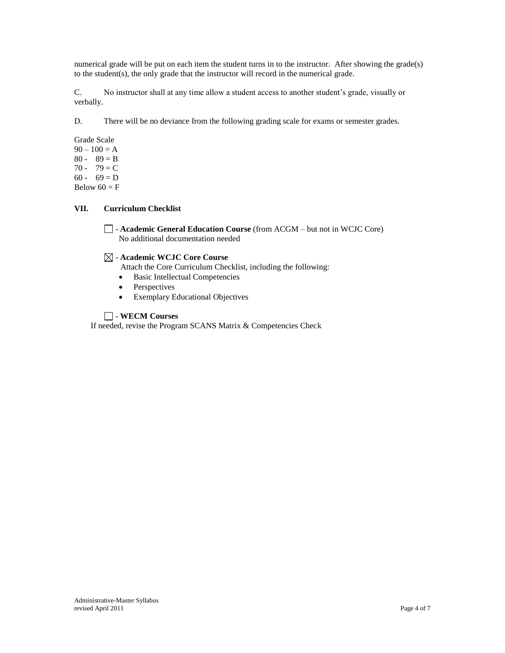numerical grade will be put on each item the student turns in to the instructor. After showing the grade(s) to the student(s), the only grade that the instructor will record in the numerical grade.

C. No instructor shall at any time allow a student access to another student's grade, visually or verbally.

D. There will be no deviance from the following grading scale for exams or semester grades.

Grade Scale  $90 - 100 = A$  $80 - 89 = B$ 70 - 79 =  $C$  $60 - 69 = D$ Below  $60 = F$ 

## **VII. Curriculum Checklist**

- **Academic General Education Course** (from ACGM – but not in WCJC Core) No additional documentation needed

## - **Academic WCJC Core Course**

Attach the Core Curriculum Checklist, including the following:

- Basic Intellectual Competencies
- Perspectives
- Exemplary Educational Objectives

## - **WECM Courses**

If needed, revise the Program SCANS Matrix & Competencies Check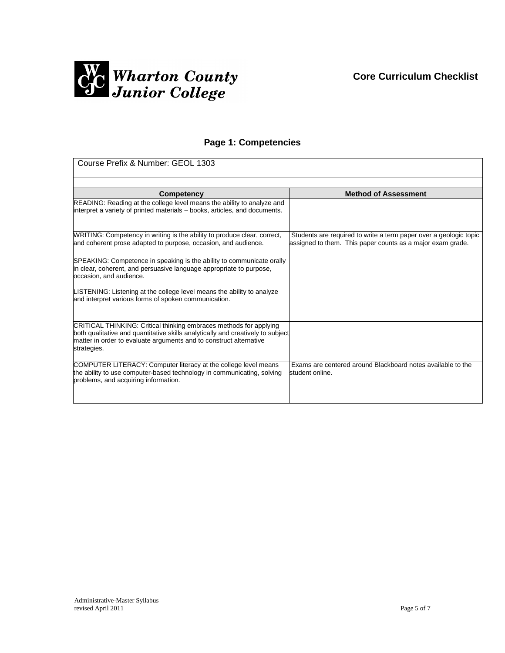

# **Page 1: Competencies**

| Course Prefix & Number: GEOL 1303                                                                                                                                                                                                          |                                                                                                                                 |  |
|--------------------------------------------------------------------------------------------------------------------------------------------------------------------------------------------------------------------------------------------|---------------------------------------------------------------------------------------------------------------------------------|--|
|                                                                                                                                                                                                                                            |                                                                                                                                 |  |
| Competency                                                                                                                                                                                                                                 | <b>Method of Assessment</b>                                                                                                     |  |
| READING: Reading at the college level means the ability to analyze and<br>interpret a variety of printed materials - books, articles, and documents.                                                                                       |                                                                                                                                 |  |
| WRITING: Competency in writing is the ability to produce clear, correct,<br>and coherent prose adapted to purpose, occasion, and audience.                                                                                                 | Students are required to write a term paper over a geologic topic<br>assigned to them. This paper counts as a major exam grade. |  |
| SPEAKING: Competence in speaking is the ability to communicate orally<br>in clear, coherent, and persuasive language appropriate to purpose,<br>occasion, and audience.                                                                    |                                                                                                                                 |  |
| LISTENING: Listening at the college level means the ability to analyze<br>and interpret various forms of spoken communication.                                                                                                             |                                                                                                                                 |  |
| CRITICAL THINKING: Critical thinking embraces methods for applying<br>both qualitative and quantitative skills analytically and creatively to subject<br>matter in order to evaluate arguments and to construct alternative<br>strategies. |                                                                                                                                 |  |
| COMPUTER LITERACY: Computer literacy at the college level means<br>the ability to use computer-based technology in communicating, solving<br>problems, and acquiring information.                                                          | Exams are centered around Blackboard notes available to the<br>student online.                                                  |  |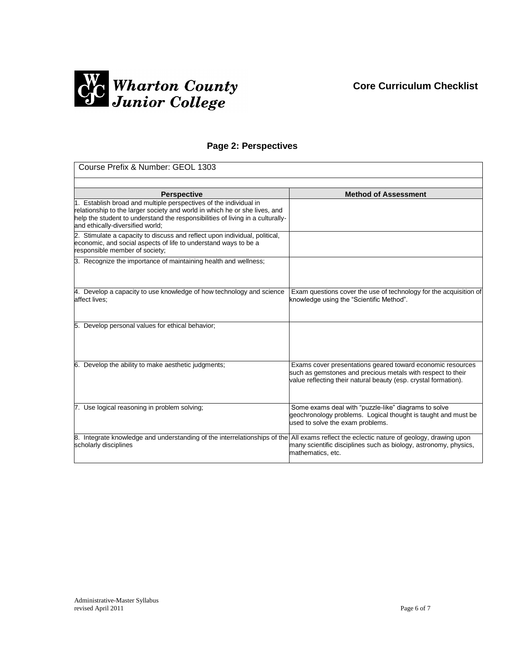# **Core Curriculum Checklist**



# **Page 2: Perspectives**

| Course Prefix & Number: GEOL 1303                                                                                                                                                                                                                                     |                                                                                                                                                                                              |
|-----------------------------------------------------------------------------------------------------------------------------------------------------------------------------------------------------------------------------------------------------------------------|----------------------------------------------------------------------------------------------------------------------------------------------------------------------------------------------|
|                                                                                                                                                                                                                                                                       |                                                                                                                                                                                              |
| <b>Perspective</b>                                                                                                                                                                                                                                                    | <b>Method of Assessment</b>                                                                                                                                                                  |
| 1. Establish broad and multiple perspectives of the individual in<br>relationship to the larger society and world in which he or she lives, and<br>help the student to understand the responsibilities of living in a culturally-<br>and ethically-diversified world; |                                                                                                                                                                                              |
| 2. Stimulate a capacity to discuss and reflect upon individual, political,<br>economic, and social aspects of life to understand ways to be a<br>responsible member of society;                                                                                       |                                                                                                                                                                                              |
| 3. Recognize the importance of maintaining health and wellness;                                                                                                                                                                                                       |                                                                                                                                                                                              |
| 4. Develop a capacity to use knowledge of how technology and science<br>affect lives:                                                                                                                                                                                 | Exam questions cover the use of technology for the acquisition of<br>knowledge using the "Scientific Method".                                                                                |
| 5. Develop personal values for ethical behavior;                                                                                                                                                                                                                      |                                                                                                                                                                                              |
| 6. Develop the ability to make aesthetic judgments;                                                                                                                                                                                                                   | Exams cover presentations geared toward economic resources<br>such as gemstones and precious metals with respect to their<br>value reflecting their natural beauty (esp. crystal formation). |
| 7. Use logical reasoning in problem solving;                                                                                                                                                                                                                          | Some exams deal with "puzzle-like" diagrams to solve<br>geochronology problems. Logical thought is taught and must be<br>used to solve the exam problems.                                    |
| 8. Integrate knowledge and understanding of the interrelationships of the All exams reflect the eclectic nature of geology, drawing upon<br>scholarly disciplines                                                                                                     | many scientific disciplines such as biology, astronomy, physics,<br>mathematics, etc.                                                                                                        |